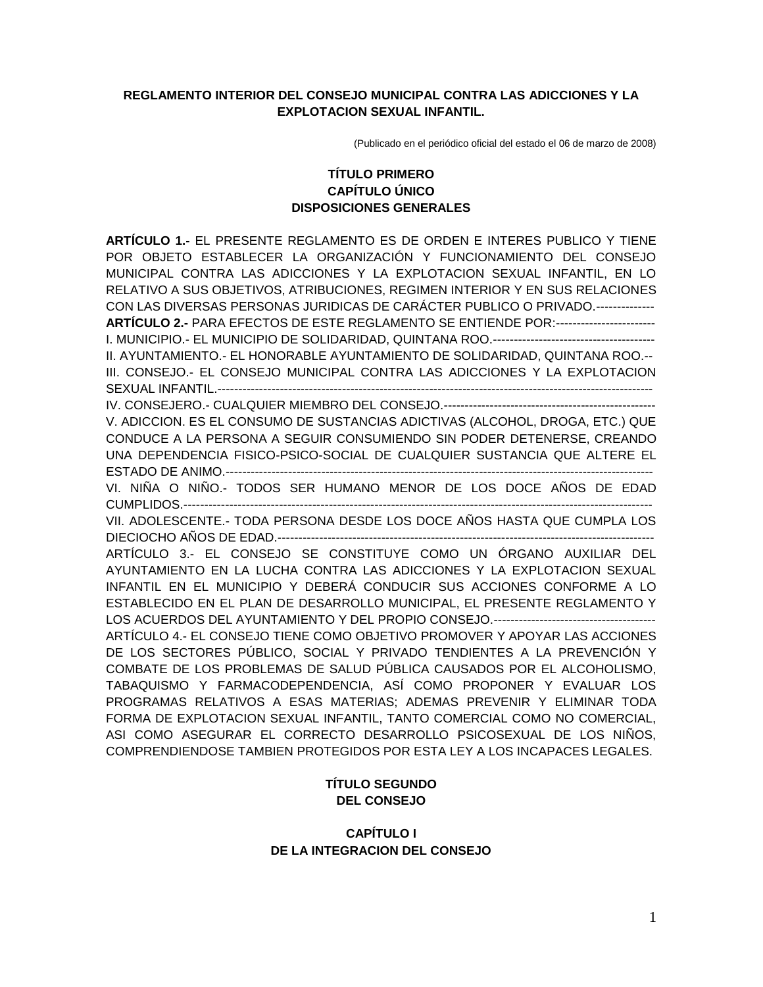### **REGLAMENTO INTERIOR DEL CONSEJO MUNICIPAL CONTRA LAS ADICCIONES Y LA EXPLOTACION SEXUAL INFANTIL.**

(Publicado en el periódico oficial del estado el 06 de marzo de 2008)

## **TÍTULO PRIMERO CAPÍTULO ÚNICO DISPOSICIONES GENERALES**

**ARTÍCULO 1.-** EL PRESENTE REGLAMENTO ES DE ORDEN E INTERES PUBLICO Y TIENE POR OBJETO ESTABLECER LA ORGANIZACIÓN Y FUNCIONAMIENTO DEL CONSEJO MUNICIPAL CONTRA LAS ADICCIONES Y LA EXPLOTACION SEXUAL INFANTIL, EN LO RELATIVO A SUS OBJETIVOS, ATRIBUCIONES, REGIMEN INTERIOR Y EN SUS RELACIONES CON LAS DIVERSAS PERSONAS JURIDICAS DE CARÁCTER PUBLICO O PRIVADO.--------------

**ARTÍCULO 2.-** PARA EFECTOS DE ESTE REGLAMENTO SE ENTIENDE POR:------------------------ I. MUNICIPIO.- EL MUNICIPIO DE SOLIDARIDAD, QUINTANA ROO.---------------------------------------

II. AYUNTAMIENTO.- EL HONORABLE AYUNTAMIENTO DE SOLIDARIDAD, QUINTANA ROO.-- III. CONSEJO.- EL CONSEJO MUNICIPAL CONTRA LAS ADICCIONES Y LA EXPLOTACION SEXUAL INFANTIL.---------------------------------------------------------------------------------------------------------

IV. CONSEJERO.- CUALQUIER MIEMBRO DEL CONSEJO.---------------------------------------------------

V. ADICCION. ES EL CONSUMO DE SUSTANCIAS ADICTIVAS (ALCOHOL, DROGA, ETC.) QUE CONDUCE A LA PERSONA A SEGUIR CONSUMIENDO SIN PODER DETENERSE, CREANDO UNA DEPENDENCIA FISICO-PSICO-SOCIAL DE CUALQUIER SUSTANCIA QUE ALTERE EL ESTADO DE ANIMO.-------------------------------------------------------------------------------------------------------

VI. NIÑA O NIÑO.- TODOS SER HUMANO MENOR DE LOS DOCE AÑOS DE EDAD CUMPLIDOS.-----------------------------------------------------------------------------------------------------------------

VII. ADOLESCENTE.- TODA PERSONA DESDE LOS DOCE AÑOS HASTA QUE CUMPLA LOS DIECIOCHO AÑOS DE EDAD.-------------------------------------------------------------------------------------------

ARTÍCULO 3.- EL CONSEJO SE CONSTITUYE COMO UN ÓRGANO AUXILIAR DEL AYUNTAMIENTO EN LA LUCHA CONTRA LAS ADICCIONES Y LA EXPLOTACION SEXUAL INFANTIL EN EL MUNICIPIO Y DEBERÁ CONDUCIR SUS ACCIONES CONFORME A LO ESTABLECIDO EN EL PLAN DE DESARROLLO MUNICIPAL, EL PRESENTE REGLAMENTO Y LOS ACUERDOS DEL AYUNTAMIENTO Y DEL PROPIO CONSEJO.---------------------------------------

ARTÍCULO 4.- EL CONSEJO TIENE COMO OBJETIVO PROMOVER Y APOYAR LAS ACCIONES DE LOS SECTORES PÚBLICO, SOCIAL Y PRIVADO TENDIENTES A LA PREVENCIÓN Y COMBATE DE LOS PROBLEMAS DE SALUD PÚBLICA CAUSADOS POR EL ALCOHOLISMO, TABAQUISMO Y FARMACODEPENDENCIA, ASÍ COMO PROPONER Y EVALUAR LOS PROGRAMAS RELATIVOS A ESAS MATERIAS; ADEMAS PREVENIR Y ELIMINAR TODA FORMA DE EXPLOTACION SEXUAL INFANTIL, TANTO COMERCIAL COMO NO COMERCIAL, ASI COMO ASEGURAR EL CORRECTO DESARROLLO PSICOSEXUAL DE LOS NIÑOS, COMPRENDIENDOSE TAMBIEN PROTEGIDOS POR ESTA LEY A LOS INCAPACES LEGALES.

## **TÍTULO SEGUNDO DEL CONSEJO**

## **CAPÍTULO I DE LA INTEGRACION DEL CONSEJO**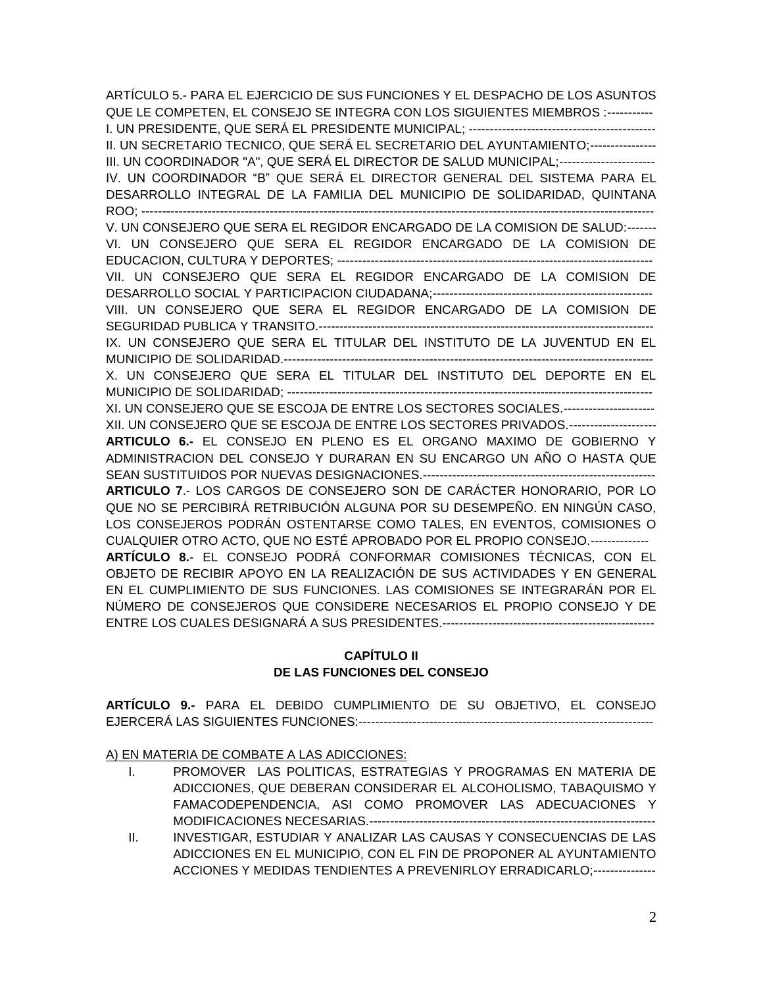ARTÍCULO 5.- PARA EL EJERCICIO DE SUS FUNCIONES Y EL DESPACHO DE LOS ASUNTOS QUE LE COMPETEN, EL CONSEJO SE INTEGRA CON LOS SIGUIENTES MIEMBROS :----------- I. UN PRESIDENTE, QUE SERÁ EL PRESIDENTE MUNICIPAL; --------------------------------------------- II. UN SECRETARIO TECNICO, QUE SERÁ EL SECRETARIO DEL AYUNTAMIENTO;---------------- III. UN COORDINADOR "A", QUE SERÁ EL DIRECTOR DE SALUD MUNICIPAL;----------------------- IV. UN COORDINADOR "B" QUE SERÁ EL DIRECTOR GENERAL DEL SISTEMA PARA EL DESARROLLO INTEGRAL DE LA FAMILIA DEL MUNICIPIO DE SOLIDARIDAD, QUINTANA ROO; ---------------------------------------------------------------------------------------------------------------------------- V. UN CONSEJERO QUE SERA EL REGIDOR ENCARGADO DE LA COMISION DE SALUD:------- VI. UN CONSEJERO QUE SERA EL REGIDOR ENCARGADO DE LA COMISION DE EDUCACION, CULTURA Y DEPORTES; ---------------------------------------------------------------------------- VII. UN CONSEJERO QUE SERA EL REGIDOR ENCARGADO DE LA COMISION DE DESARROLLO SOCIAL Y PARTICIPACION CIUDADANA;----------------------------------------------------- VIII. UN CONSEJERO QUE SERA EL REGIDOR ENCARGADO DE LA COMISION DE SEGURIDAD PUBLICA Y TRANSITO.--------------------------------------------------------------------------------- IX. UN CONSEJERO QUE SERA EL TITULAR DEL INSTITUTO DE LA JUVENTUD EN EL MUNICIPIO DE SOLIDARIDAD.----------------------------------------------------------------------------------------- X. UN CONSEJERO QUE SERA EL TITULAR DEL INSTITUTO DEL DEPORTE EN EL MUNICIPIO DE SOLIDARIDAD; ---------------------------------------------------------------------------------------- XI. UN CONSEJERO QUE SE ESCOJA DE ENTRE LOS SECTORES SOCIALES.---------------------- XII. UN CONSEJERO QUE SE ESCOJA DE ENTRE LOS SECTORES PRIVADOS.--------------------- **ARTICULO 6.-** EL CONSEJO EN PLENO ES EL ORGANO MAXIMO DE GOBIERNO Y ADMINISTRACION DEL CONSEJO Y DURARAN EN SU ENCARGO UN AÑO O HASTA QUE SEAN SUSTITUIDOS POR NUEVAS DESIGNACIONES.-------------------------------------------------------- **ARTICULO 7**.- LOS CARGOS DE CONSEJERO SON DE CARÁCTER HONORARIO, POR LO QUE NO SE PERCIBIRÁ RETRIBUCIÓN ALGUNA POR SU DESEMPEÑO. EN NINGÚN CASO, LOS CONSEJEROS PODRÁN OSTENTARSE COMO TALES, EN EVENTOS, COMISIONES O CUALQUIER OTRO ACTO, QUE NO ESTÉ APROBADO POR EL PROPIO CONSEJO.-------------- **ARTÍCULO 8.**- EL CONSEJO PODRÁ CONFORMAR COMISIONES TÉCNICAS, CON EL OBJETO DE RECIBIR APOYO EN LA REALIZACIÓN DE SUS ACTIVIDADES Y EN GENERAL EN EL CUMPLIMIENTO DE SUS FUNCIONES. LAS COMISIONES SE INTEGRARÁN POR EL NÚMERO DE CONSEJEROS QUE CONSIDERE NECESARIOS EL PROPIO CONSEJO Y DE ENTRE LOS CUALES DESIGNARÁ A SUS PRESIDENTES.---------------------------------------------------

# **CAPÍTULO II DE LAS FUNCIONES DEL CONSEJO**

**ARTÍCULO 9.-** PARA EL DEBIDO CUMPLIMIENTO DE SU OBJETIVO, EL CONSEJO EJERCERÁ LAS SIGUIENTES FUNCIONES:-----------------------------------------------------------------------

A) EN MATERIA DE COMBATE A LAS ADICCIONES:

- I. PROMOVER LAS POLITICAS, ESTRATEGIAS Y PROGRAMAS EN MATERIA DE ADICCIONES, QUE DEBERAN CONSIDERAR EL ALCOHOLISMO, TABAQUISMO Y FAMACODEPENDENCIA, ASI COMO PROMOVER LAS ADECUACIONES Y MODIFICACIONES NECESARIAS.---------------------------------------------------------------------
- II. INVESTIGAR, ESTUDIAR Y ANALIZAR LAS CAUSAS Y CONSECUENCIAS DE LAS ADICCIONES EN EL MUNICIPIO, CON EL FIN DE PROPONER AL AYUNTAMIENTO ACCIONES Y MEDIDAS TENDIENTES A PREVENIRLOY ERRADICARLO;---------------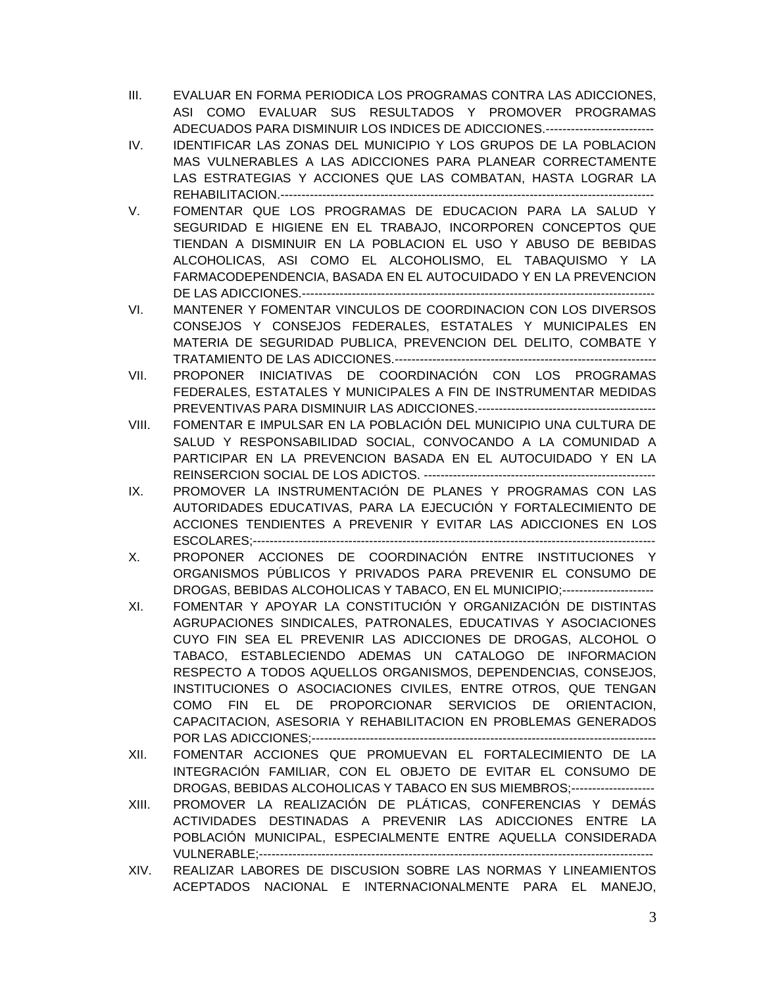- III. EVALUAR EN FORMA PERIODICA LOS PROGRAMAS CONTRA LAS ADICCIONES, ASI COMO EVALUAR SUS RESULTADOS Y PROMOVER PROGRAMAS ADECUADOS PARA DISMINUIR LOS INDICES DE ADICCIONES.--------------------------
- IV. IDENTIFICAR LAS ZONAS DEL MUNICIPIO Y LOS GRUPOS DE LA POBLACION MAS VULNERABLES A LAS ADICCIONES PARA PLANEAR CORRECTAMENTE LAS ESTRATEGIAS Y ACCIONES QUE LAS COMBATAN, HASTA LOGRAR LA REHABILITACION.------------------------------------------------------------------------------------------
- V. FOMENTAR QUE LOS PROGRAMAS DE EDUCACION PARA LA SALUD Y SEGURIDAD E HIGIENE EN EL TRABAJO, INCORPOREN CONCEPTOS QUE TIENDAN A DISMINUIR EN LA POBLACION EL USO Y ABUSO DE BEBIDAS ALCOHOLICAS, ASI COMO EL ALCOHOLISMO, EL TABAQUISMO Y LA FARMACODEPENDENCIA, BASADA EN EL AUTOCUIDADO Y EN LA PREVENCION DE LAS ADICCIONES.-------------------------------------------------------------------------------------
- VI. MANTENER Y FOMENTAR VINCULOS DE COORDINACION CON LOS DIVERSOS CONSEJOS Y CONSEJOS FEDERALES, ESTATALES Y MUNICIPALES EN MATERIA DE SEGURIDAD PUBLICA, PREVENCION DEL DELITO, COMBATE Y TRATAMIENTO DE LAS ADICCIONES.---------------------------------------------------------------
- VII. PROPONER INICIATIVAS DE COORDINACIÓN CON LOS PROGRAMAS FEDERALES, ESTATALES Y MUNICIPALES A FIN DE INSTRUMENTAR MEDIDAS PREVENTIVAS PARA DISMINUIR LAS ADICCIONES.-------------------------------------------
- VIII. FOMENTAR E IMPULSAR EN LA POBLACIÓN DEL MUNICIPIO UNA CULTURA DE SALUD Y RESPONSABILIDAD SOCIAL, CONVOCANDO A LA COMUNIDAD A PARTICIPAR EN LA PREVENCION BASADA EN EL AUTOCUIDADO Y EN LA REINSERCION SOCIAL DE LOS ADICTOS. --------------------------------------------------------
- IX. PROMOVER LA INSTRUMENTACIÓN DE PLANES Y PROGRAMAS CON LAS AUTORIDADES EDUCATIVAS, PARA LA EJECUCIÓN Y FORTALECIMIENTO DE ACCIONES TENDIENTES A PREVENIR Y EVITAR LAS ADICCIONES EN LOS ESCOLARES;-------------------------------------------------------------------------------------------------
- X. PROPONER ACCIONES DE COORDINACIÓN ENTRE INSTITUCIONES Y ORGANISMOS PÚBLICOS Y PRIVADOS PARA PREVENIR EL CONSUMO DE DROGAS, BEBIDAS ALCOHOLICAS Y TABACO, EN EL MUNICIPIO;----------------------
- XI. FOMENTAR Y APOYAR LA CONSTITUCIÓN Y ORGANIZACIÓN DE DISTINTAS AGRUPACIONES SINDICALES, PATRONALES, EDUCATIVAS Y ASOCIACIONES CUYO FIN SEA EL PREVENIR LAS ADICCIONES DE DROGAS, ALCOHOL O TABACO, ESTABLECIENDO ADEMAS UN CATALOGO DE INFORMACION RESPECTO A TODOS AQUELLOS ORGANISMOS, DEPENDENCIAS, CONSEJOS, INSTITUCIONES O ASOCIACIONES CIVILES, ENTRE OTROS, QUE TENGAN COMO FIN EL DE PROPORCIONAR SERVICIOS DE ORIENTACION, CAPACITACION, ASESORIA Y REHABILITACION EN PROBLEMAS GENERADOS POR LAS ADICCIONES;-----------------------------------------------------------------------------------
- XII. FOMENTAR ACCIONES QUE PROMUEVAN EL FORTALECIMIENTO DE LA INTEGRACIÓN FAMILIAR, CON EL OBJETO DE EVITAR EL CONSUMO DE DROGAS, BEBIDAS ALCOHOLICAS Y TABACO EN SUS MIEMBROS;--------------------
- XIII. PROMOVER LA REALIZACIÓN DE PLÁTICAS, CONFERENCIAS Y DEMÁS ACTIVIDADES DESTINADAS A PREVENIR LAS ADICCIONES ENTRE LA POBLACIÓN MUNICIPAL, ESPECIALMENTE ENTRE AQUELLA CONSIDERADA VULNERABLE;-----------------------------------------------------------------------------------------------
- XIV. REALIZAR LABORES DE DISCUSION SOBRE LAS NORMAS Y LINEAMIENTOS ACEPTADOS NACIONAL E INTERNACIONALMENTE PARA EL MANEJO,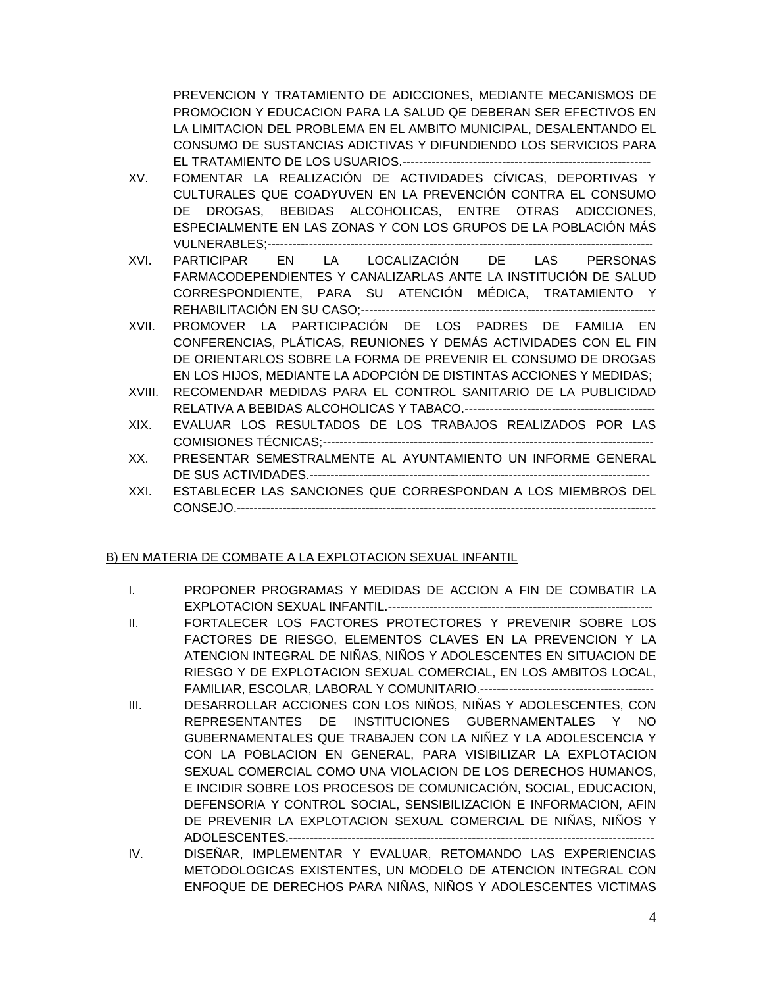PREVENCION Y TRATAMIENTO DE ADICCIONES, MEDIANTE MECANISMOS DE PROMOCION Y EDUCACION PARA LA SALUD QE DEBERAN SER EFECTIVOS EN LA LIMITACION DEL PROBLEMA EN EL AMBITO MUNICIPAL, DESALENTANDO EL CONSUMO DE SUSTANCIAS ADICTIVAS Y DIFUNDIENDO LOS SERVICIOS PARA EL TRATAMIENTO DE LOS USUARIOS.------------------------------------------------------------

- XV. FOMENTAR LA REALIZACIÓN DE ACTIVIDADES CÍVICAS, DEPORTIVAS Y CULTURALES QUE COADYUVEN EN LA PREVENCIÓN CONTRA EL CONSUMO DE DROGAS, BEBIDAS ALCOHOLICAS, ENTRE OTRAS ADICCIONES, ESPECIALMENTE EN LAS ZONAS Y CON LOS GRUPOS DE LA POBLACIÓN MÁS VULNERABLES;---------------------------------------------------------------------------------------------
- XVI. PARTICIPAR EN LA LOCALIZACIÓN DE LAS PERSONAS FARMACODEPENDIENTES Y CANALIZARLAS ANTE LA INSTITUCIÓN DE SALUD CORRESPONDIENTE, PARA SU ATENCIÓN MÉDICA, TRATAMIENTO Y REHABILITACIÓN EN SU CASO;-----------------------------------------------------------------------
- XVII. PROMOVER LA PARTICIPACIÓN DE LOS PADRES DE FAMILIA EN CONFERENCIAS, PLÁTICAS, REUNIONES Y DEMÁS ACTIVIDADES CON EL FIN DE ORIENTARLOS SOBRE LA FORMA DE PREVENIR EL CONSUMO DE DROGAS EN LOS HIJOS, MEDIANTE LA ADOPCIÓN DE DISTINTAS ACCIONES Y MEDIDAS;
- XVIII. RECOMENDAR MEDIDAS PARA EL CONTROL SANITARIO DE LA PUBLICIDAD RELATIVA A BEBIDAS ALCOHOLICAS Y TABACO.----------------------------------------------
- XIX. EVALUAR LOS RESULTADOS DE LOS TRABAJOS REALIZADOS POR LAS COMISIONES TÉCNICAS;--------------------------------------------------------------------------------
- XX. PRESENTAR SEMESTRALMENTE AL AYUNTAMIENTO UN INFORME GENERAL DE SUS ACTIVIDADES.----------------------------------------------------------------------------------
- XXI. ESTABLECER LAS SANCIONES QUE CORRESPONDAN A LOS MIEMBROS DEL CONSEJO.-----------------------------------------------------------------------------------------------------

# B) EN MATERIA DE COMBATE A LA EXPLOTACION SEXUAL INFANTIL

- I. PROPONER PROGRAMAS Y MEDIDAS DE ACCION A FIN DE COMBATIR LA EXPLOTACION SEXUAL INFANTIL.----------------------------------------------------------------
- II. FORTALECER LOS FACTORES PROTECTORES Y PREVENIR SOBRE LOS FACTORES DE RIESGO, ELEMENTOS CLAVES EN LA PREVENCION Y LA ATENCION INTEGRAL DE NIÑAS, NIÑOS Y ADOLESCENTES EN SITUACION DE RIESGO Y DE EXPLOTACION SEXUAL COMERCIAL, EN LOS AMBITOS LOCAL, FAMILIAR, ESCOLAR, LABORAL Y COMUNITARIO.------------------------------------------
- III. DESARROLLAR ACCIONES CON LOS NIÑOS, NIÑAS Y ADOLESCENTES, CON REPRESENTANTES DE INSTITUCIONES GUBERNAMENTALES Y NO GUBERNAMENTALES QUE TRABAJEN CON LA NIÑEZ Y LA ADOLESCENCIA Y CON LA POBLACION EN GENERAL, PARA VISIBILIZAR LA EXPLOTACION SEXUAL COMERCIAL COMO UNA VIOLACION DE LOS DERECHOS HUMANOS, E INCIDIR SOBRE LOS PROCESOS DE COMUNICACIÓN, SOCIAL, EDUCACION, DEFENSORIA Y CONTROL SOCIAL, SENSIBILIZACION E INFORMACION, AFIN DE PREVENIR LA EXPLOTACION SEXUAL COMERCIAL DE NIÑAS, NIÑOS Y ADOLESCENTES.----------------------------------------------------------------------------------------
- IV. DISEÑAR, IMPLEMENTAR Y EVALUAR, RETOMANDO LAS EXPERIENCIAS METODOLOGICAS EXISTENTES, UN MODELO DE ATENCION INTEGRAL CON ENFOQUE DE DERECHOS PARA NIÑAS, NIÑOS Y ADOLESCENTES VICTIMAS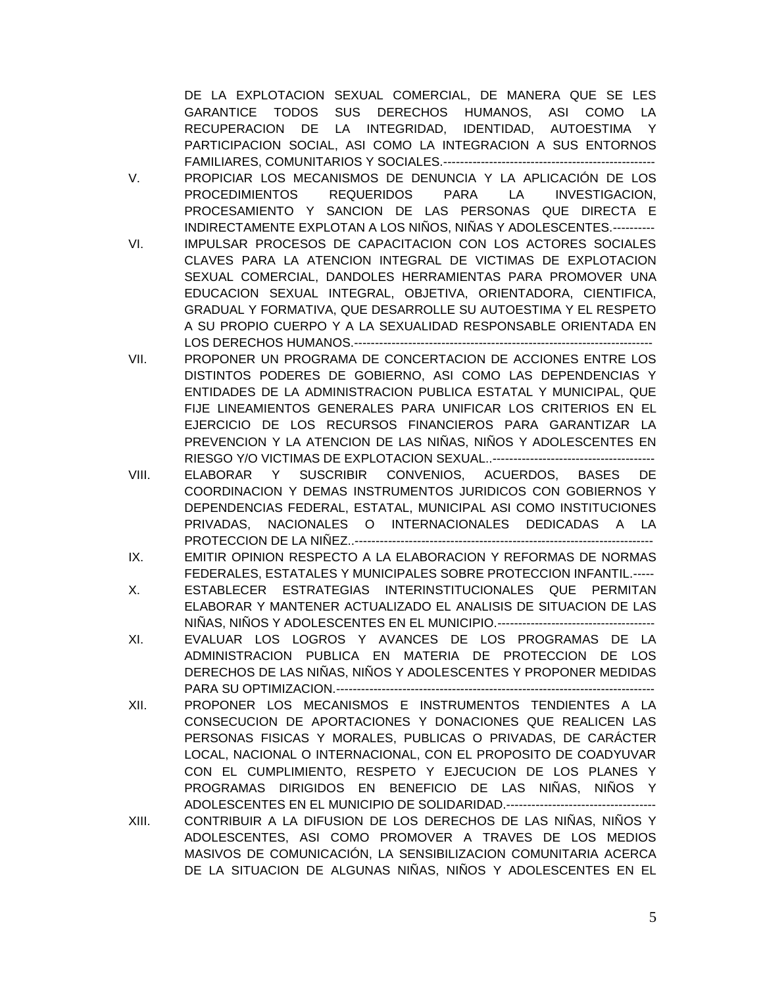DE LA EXPLOTACION SEXUAL COMERCIAL, DE MANERA QUE SE LES GARANTICE TODOS SUS DERECHOS HUMANOS, ASI COMO LA RECUPERACION DE LA INTEGRIDAD, IDENTIDAD, AUTOESTIMA Y PARTICIPACION SOCIAL, ASI COMO LA INTEGRACION A SUS ENTORNOS FAMILIARES, COMUNITARIOS Y SOCIALES.---------------------------------------------------

- V. PROPICIAR LOS MECANISMOS DE DENUNCIA Y LA APLICACIÓN DE LOS PROCEDIMIENTOS REQUERIDOS PARA LA INVESTIGACION, PROCESAMIENTO Y SANCION DE LAS PERSONAS QUE DIRECTA E INDIRECTAMENTE EXPLOTAN A LOS NIÑOS, NIÑAS Y ADOLESCENTES.----------
- VI. IMPULSAR PROCESOS DE CAPACITACION CON LOS ACTORES SOCIALES CLAVES PARA LA ATENCION INTEGRAL DE VICTIMAS DE EXPLOTACION SEXUAL COMERCIAL, DANDOLES HERRAMIENTAS PARA PROMOVER UNA EDUCACION SEXUAL INTEGRAL, OBJETIVA, ORIENTADORA, CIENTIFICA, GRADUAL Y FORMATIVA, QUE DESARROLLE SU AUTOESTIMA Y EL RESPETO A SU PROPIO CUERPO Y A LA SEXUALIDAD RESPONSABLE ORIENTADA EN LOS DERECHOS HUMANOS.------------------------------------------------------------------------
- VII. PROPONER UN PROGRAMA DE CONCERTACION DE ACCIONES ENTRE LOS DISTINTOS PODERES DE GOBIERNO, ASI COMO LAS DEPENDENCIAS Y ENTIDADES DE LA ADMINISTRACION PUBLICA ESTATAL Y MUNICIPAL, QUE FIJE LINEAMIENTOS GENERALES PARA UNIFICAR LOS CRITERIOS EN EL EJERCICIO DE LOS RECURSOS FINANCIEROS PARA GARANTIZAR LA PREVENCION Y LA ATENCION DE LAS NIÑAS, NIÑOS Y ADOLESCENTES EN RIESGO Y/O VICTIMAS DE EXPLOTACION SEXUAL..---------------------------------------
- VIII. ELABORAR Y SUSCRIBIR CONVENIOS, ACUERDOS, BASES DE COORDINACION Y DEMAS INSTRUMENTOS JURIDICOS CON GOBIERNOS Y DEPENDENCIAS FEDERAL, ESTATAL, MUNICIPAL ASI COMO INSTITUCIONES PRIVADAS, NACIONALES O INTERNACIONALES DEDICADAS A LA PROTECCION DE LA NIÑEZ..------------------------------------------------------------------------
- IX. EMITIR OPINION RESPECTO A LA ELABORACION Y REFORMAS DE NORMAS FEDERALES, ESTATALES Y MUNICIPALES SOBRE PROTECCION INFANTIL.-----
- X. ESTABLECER ESTRATEGIAS INTERINSTITUCIONALES QUE PERMITAN ELABORAR Y MANTENER ACTUALIZADO EL ANALISIS DE SITUACION DE LAS NIÑAS, NIÑOS Y ADOLESCENTES EN EL MUNICIPIO.--------------------------------------
- XI. EVALUAR LOS LOGROS Y AVANCES DE LOS PROGRAMAS DE LA ADMINISTRACION PUBLICA EN MATERIA DE PROTECCION DE LOS DERECHOS DE LAS NIÑAS, NIÑOS Y ADOLESCENTES Y PROPONER MEDIDAS PARA SU OPTIMIZACION.-----------------------------------------------------------------------------
- XII. PROPONER LOS MECANISMOS E INSTRUMENTOS TENDIENTES A LA CONSECUCION DE APORTACIONES Y DONACIONES QUE REALICEN LAS PERSONAS FISICAS Y MORALES, PUBLICAS O PRIVADAS, DE CARÁCTER LOCAL, NACIONAL O INTERNACIONAL, CON EL PROPOSITO DE COADYUVAR CON EL CUMPLIMIENTO, RESPETO Y EJECUCION DE LOS PLANES Y PROGRAMAS DIRIGIDOS EN BENEFICIO DE LAS NIÑAS, NIÑOS Y ADOLESCENTES EN EL MUNICIPIO DE SOLIDARIDAD.------------------------------------
- XIII. CONTRIBUIR A LA DIFUSION DE LOS DERECHOS DE LAS NIÑAS, NIÑOS Y ADOLESCENTES, ASI COMO PROMOVER A TRAVES DE LOS MEDIOS MASIVOS DE COMUNICACIÓN, LA SENSIBILIZACION COMUNITARIA ACERCA DE LA SITUACION DE ALGUNAS NIÑAS, NIÑOS Y ADOLESCENTES EN EL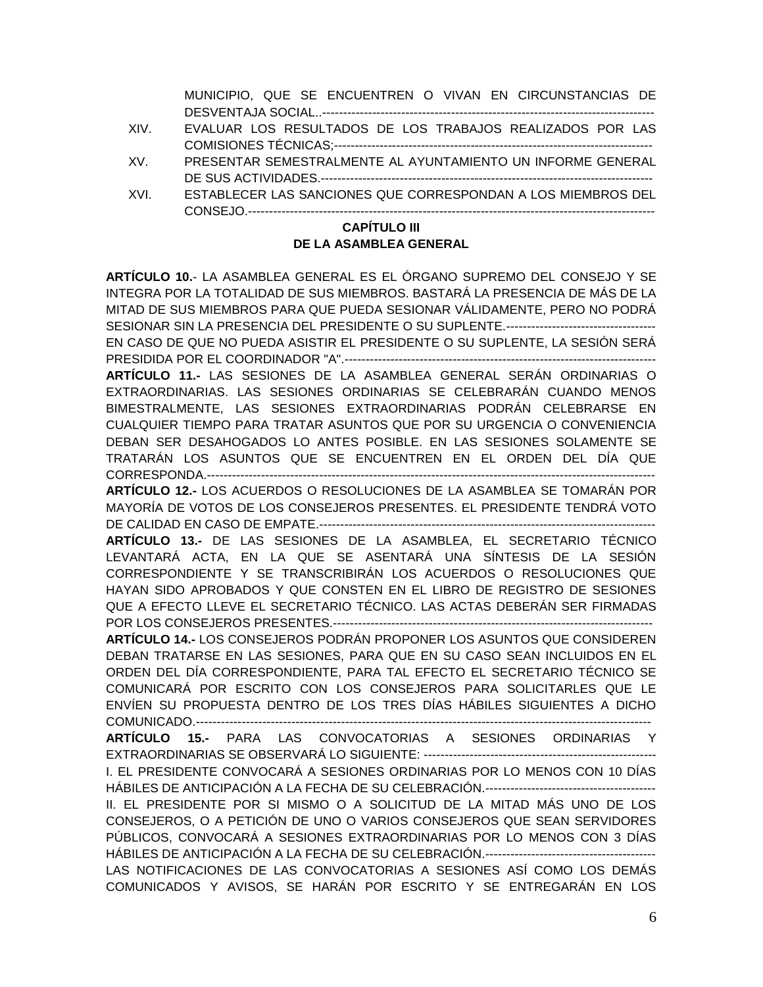MUNICIPIO, QUE SE ENCUENTREN O VIVAN EN CIRCUNSTANCIAS DE DESVENTAJA SOCIAL..--------------------------------------------------------------------------------

- XIV. EVALUAR LOS RESULTADOS DE LOS TRABAJOS REALIZADOS POR LAS COMISIONES TÉCNICAS;-----------------------------------------------------------------------------
- XV. PRESENTAR SEMESTRALMENTE AL AYUNTAMIENTO UN INFORME GENERAL DE SUS ACTIVIDADES.--------------------------------------------------------------------------------
- XVI. ESTABLECER LAS SANCIONES QUE CORRESPONDAN A LOS MIEMBROS DEL CONSEJO.--------------------------------------------------------------------------------------------------

#### **CAPÍTULO III DE LA ASAMBLEA GENERAL**

**ARTÍCULO 10.**- LA ASAMBLEA GENERAL ES EL ÓRGANO SUPREMO DEL CONSEJO Y SE INTEGRA POR LA TOTALIDAD DE SUS MIEMBROS. BASTARÁ LA PRESENCIA DE MÁS DE LA MITAD DE SUS MIEMBROS PARA QUE PUEDA SESIONAR VÁLIDAMENTE, PERO NO PODRÁ SESIONAR SIN LA PRESENCIA DEL PRESIDENTE O SU SUPLENTE.------------------------------------ EN CASO DE QUE NO PUEDA ASISTIR EL PRESIDENTE O SU SUPLENTE, LA SESIÓN SERÁ PRESIDIDA POR EL COORDINADOR "A".--------------------------------------------------------------------------- **ARTÍCULO 11.-** LAS SESIONES DE LA ASAMBLEA GENERAL SERÁN ORDINARIAS O EXTRAORDINARIAS. LAS SESIONES ORDINARIAS SE CELEBRARÁN CUANDO MENOS BIMESTRALMENTE, LAS SESIONES EXTRAORDINARIAS PODRÁN CELEBRARSE EN CUALQUIER TIEMPO PARA TRATAR ASUNTOS QUE POR SU URGENCIA O CONVENIENCIA DEBAN SER DESAHOGADOS LO ANTES POSIBLE. EN LAS SESIONES SOLAMENTE SE TRATARÁN LOS ASUNTOS QUE SE ENCUENTREN EN EL ORDEN DEL DÍA QUE CORRESPONDA.------------------------------------------------------------------------------------------------------------ **ARTÍCULO 12.-** LOS ACUERDOS O RESOLUCIONES DE LA ASAMBLEA SE TOMARÁN POR MAYORÍA DE VOTOS DE LOS CONSEJEROS PRESENTES. EL PRESIDENTE TENDRÁ VOTO DE CALIDAD EN CASO DE EMPATE.--------------------------------------------------------------------------------- **ARTÍCULO 13.-** DE LAS SESIONES DE LA ASAMBLEA, EL SECRETARIO TÉCNICO LEVANTARÁ ACTA, EN LA QUE SE ASENTARÁ UNA SÍNTESIS DE LA SESIÓN CORRESPONDIENTE Y SE TRANSCRIBIRÁN LOS ACUERDOS O RESOLUCIONES QUE HAYAN SIDO APROBADOS Y QUE CONSTEN EN EL LIBRO DE REGISTRO DE SESIONES QUE A EFECTO LLEVE EL SECRETARIO TÉCNICO. LAS ACTAS DEBERÁN SER FIRMADAS POR LOS CONSEJEROS PRESENTES.----------------------------------------------------------------------------- **ARTÍCULO 14.-** LOS CONSEJEROS PODRÁN PROPONER LOS ASUNTOS QUE CONSIDEREN DEBAN TRATARSE EN LAS SESIONES, PARA QUE EN SU CASO SEAN INCLUIDOS EN EL ORDEN DEL DÍA CORRESPONDIENTE, PARA TAL EFECTO EL SECRETARIO TÉCNICO SE COMUNICARÁ POR ESCRITO CON LOS CONSEJEROS PARA SOLICITARLES QUE LE ENVÍEN SU PROPUESTA DENTRO DE LOS TRES DÍAS HÁBILES SIGUIENTES A DICHO COMUNICADO.-------------------------------------------------------------------------------------------------------------- **ARTÍCULO 15.-** PARA LAS CONVOCATORIAS A SESIONES ORDINARIAS Y EXTRAORDINARIAS SE OBSERVARÁ LO SIGUIENTE: -------------------------------------------------------- I. EL PRESIDENTE CONVOCARÁ A SESIONES ORDINARIAS POR LO MENOS CON 10 DÍAS HÁBILES DE ANTICIPACIÓN A LA FECHA DE SU CELEBRACIÓN.----------------------------------------- II. EL PRESIDENTE POR SI MISMO O A SOLICITUD DE LA MITAD MÁS UNO DE LOS CONSEJEROS, O A PETICIÓN DE UNO O VARIOS CONSEJEROS QUE SEAN SERVIDORES PÚBLICOS, CONVOCARÁ A SESIONES EXTRAORDINARIAS POR LO MENOS CON 3 DÍAS HÁBILES DE ANTICIPACIÓN A LA FECHA DE SU CELEBRACIÓN.----------------------------------------- LAS NOTIFICACIONES DE LAS CONVOCATORIAS A SESIONES ASÍ COMO LOS DEMÁS COMUNICADOS Y AVISOS, SE HARÁN POR ESCRITO Y SE ENTREGARÁN EN LOS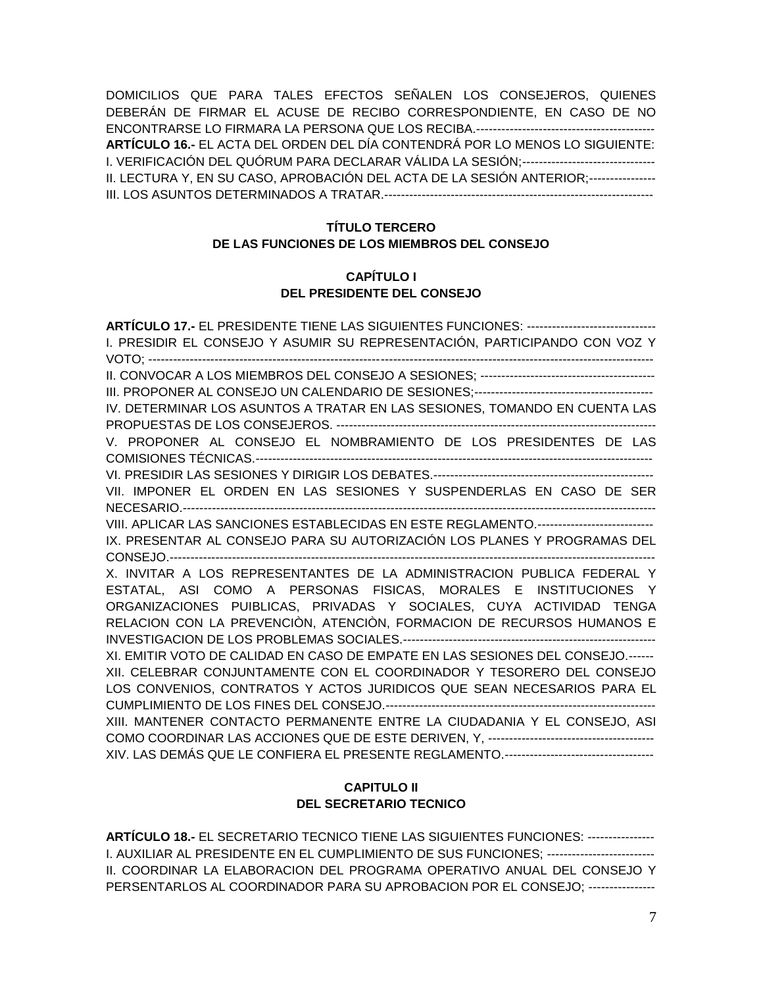DOMICILIOS QUE PARA TALES EFECTOS SEÑALEN LOS CONSEJEROS, QUIENES DEBERÁN DE FIRMAR EL ACUSE DE RECIBO CORRESPONDIENTE, EN CASO DE NO ENCONTRARSE LO FIRMARA LA PERSONA QUE LOS RECIBA.------------------------------------------- **ARTÍCULO 16.-** EL ACTA DEL ORDEN DEL DÍA CONTENDRÁ POR LO MENOS LO SIGUIENTE: I. VERIFICACIÓN DEL QUÓRUM PARA DECLARAR VÁLIDA LA SESIÓN;-------------------------------- II. LECTURA Y, EN SU CASO, APROBACIÓN DEL ACTA DE LA SESIÓN ANTERIOR;---------------- III. LOS ASUNTOS DETERMINADOS A TRATAR.-----------------------------------------------------------------

### **TÍTULO TERCERO DE LAS FUNCIONES DE LOS MIEMBROS DEL CONSEJO**

#### **CAPÍTULO I DEL PRESIDENTE DEL CONSEJO**

**ARTÍCULO 17.-** EL PRESIDENTE TIENE LAS SIGUIENTES FUNCIONES: ------------------------------- I. PRESIDIR EL CONSEJO Y ASUMIR SU REPRESENTACIÓN, PARTICIPANDO CON VOZ Y VOTO; -------------------------------------------------------------------------------------------------------------------------- II. CONVOCAR A LOS MIEMBROS DEL CONSEJO A SESIONES; ------------------------------------------ III. PROPONER AL CONSEJO UN CALENDARIO DE SESIONES;------------------------------------------- IV. DETERMINAR LOS ASUNTOS A TRATAR EN LAS SESIONES, TOMANDO EN CUENTA LAS PROPUESTAS DE LOS CONSEJEROS. ----------------------------------------------------------------------------- V. PROPONER AL CONSEJO EL NOMBRAMIENTO DE LOS PRESIDENTES DE LAS COMISIONES TÉCNICAS.------------------------------------------------------------------------------------------------ VI. PRESIDIR LAS SESIONES Y DIRIGIR LOS DEBATES.----------------------------------------------------- VII. IMPONER EL ORDEN EN LAS SESIONES Y SUSPENDERLAS EN CASO DE SER NECESARIO.------------------------------------------------------------------------------------------------------------------ VIII. APLICAR LAS SANCIONES ESTABLECIDAS EN ESTE REGLAMENTO.---------------------------- IX. PRESENTAR AL CONSEJO PARA SU AUTORIZACIÓN LOS PLANES Y PROGRAMAS DEL CONSEJO.--------------------------------------------------------------------------------------------------------------------- X. INVITAR A LOS REPRESENTANTES DE LA ADMINISTRACION PUBLICA FEDERAL Y ESTATAL, ASI COMO A PERSONAS FISICAS, MORALES E INSTITUCIONES Y ORGANIZACIONES PUIBLICAS, PRIVADAS Y SOCIALES, CUYA ACTIVIDAD TENGA RELACION CON LA PREVENCIÒN, ATENCIÒN, FORMACION DE RECURSOS HUMANOS E INVESTIGACION DE LOS PROBLEMAS SOCIALES.------------------------------------------------------------- XI. EMITIR VOTO DE CALIDAD EN CASO DE EMPATE EN LAS SESIONES DEL CONSEJO.------ XII. CELEBRAR CONJUNTAMENTE CON EL COORDINADOR Y TESORERO DEL CONSEJO LOS CONVENIOS, CONTRATOS Y ACTOS JURIDICOS QUE SEAN NECESARIOS PARA EL CUMPLIMIENTO DE LOS FINES DEL CONSEJO.----------------------------------------------------------------- XIII. MANTENER CONTACTO PERMANENTE ENTRE LA CIUDADANIA Y EL CONSEJO, ASI COMO COORDINAR LAS ACCIONES QUE DE ESTE DERIVEN, Y, ---------------------------------------- XIV. LAS DEMÁS QUE LE CONFIERA EL PRESENTE REGLAMENTO.------------------------------------

### **CAPITULO II DEL SECRETARIO TECNICO**

**ARTÍCULO 18.-** EL SECRETARIO TECNICO TIENE LAS SIGUIENTES FUNCIONES: ---------------- I. AUXILIAR AL PRESIDENTE EN EL CUMPLIMIENTO DE SUS FUNCIONES; -------------------------- II. COORDINAR LA ELABORACION DEL PROGRAMA OPERATIVO ANUAL DEL CONSEJO Y PERSENTARLOS AL COORDINADOR PARA SU APROBACION POR EL CONSEJO; ----------------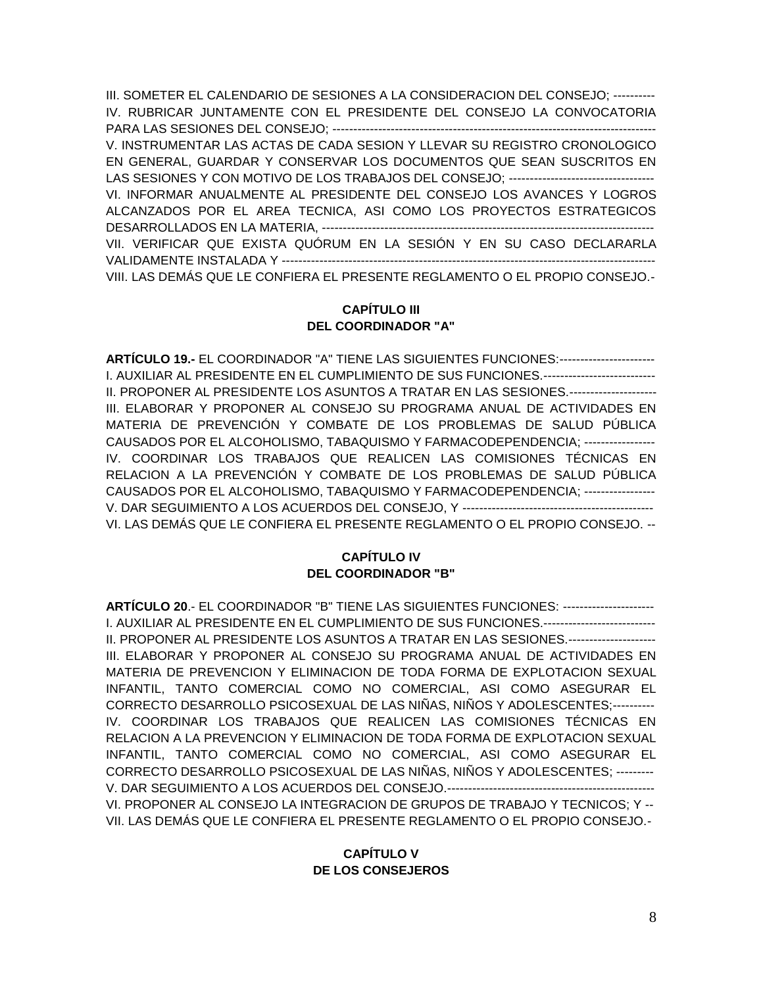III. SOMETER EL CALENDARIO DE SESIONES A LA CONSIDERACION DEL CONSEJO; ---------- IV. RUBRICAR JUNTAMENTE CON EL PRESIDENTE DEL CONSEJO LA CONVOCATORIA PARA LAS SESIONES DEL CONSEJO; ------------------------------------------------------------------------------ V. INSTRUMENTAR LAS ACTAS DE CADA SESION Y LLEVAR SU REGISTRO CRONOLOGICO EN GENERAL, GUARDAR Y CONSERVAR LOS DOCUMENTOS QUE SEAN SUSCRITOS EN LAS SESIONES Y CON MOTIVO DE LOS TRABAJOS DEL CONSEJO; ---------------------------------VI. INFORMAR ANUALMENTE AL PRESIDENTE DEL CONSEJO LOS AVANCES Y LOGROS ALCANZADOS POR EL AREA TECNICA, ASI COMO LOS PROYECTOS ESTRATEGICOS DESARROLLADOS EN LA MATERIA, -------------------------------------------------------------------------------- VII. VERIFICAR QUE EXISTA QUÓRUM EN LA SESIÓN Y EN SU CASO DECLARARLA VALIDAMENTE INSTALADA Y ------------------------------------------------------------------------------------------ VIII. LAS DEMÁS QUE LE CONFIERA EL PRESENTE REGLAMENTO O EL PROPIO CONSEJO.-

#### **CAPÍTULO III DEL COORDINADOR "A"**

**ARTÍCULO 19.-** EL COORDINADOR "A" TIENE LAS SIGUIENTES FUNCIONES:----------------------- I. AUXILIAR AL PRESIDENTE EN EL CUMPLIMIENTO DE SUS FUNCIONES.--------------------------- II. PROPONER AL PRESIDENTE LOS ASUNTOS A TRATAR EN LAS SESIONES.--------------------- III. ELABORAR Y PROPONER AL CONSEJO SU PROGRAMA ANUAL DE ACTIVIDADES EN MATERIA DE PREVENCIÓN Y COMBATE DE LOS PROBLEMAS DE SALUD PÚBLICA CAUSADOS POR EL ALCOHOLISMO, TABAQUISMO Y FARMACODEPENDENCIA; ----------------- IV. COORDINAR LOS TRABAJOS QUE REALICEN LAS COMISIONES TÉCNICAS EN RELACION A LA PREVENCIÓN Y COMBATE DE LOS PROBLEMAS DE SALUD PÚBLICA CAUSADOS POR EL ALCOHOLISMO, TABAQUISMO Y FARMACODEPENDENCIA; ----------------- V. DAR SEGUIMIENTO A LOS ACUERDOS DEL CONSEJO, Y ---------------------------------------------- VI. LAS DEMÁS QUE LE CONFIERA EL PRESENTE REGLAMENTO O EL PROPIO CONSEJO. --

# **CAPÍTULO IV DEL COORDINADOR "B"**

**ARTÍCULO 20**.- EL COORDINADOR "B" TIENE LAS SIGUIENTES FUNCIONES: ---------------------- I. AUXILIAR AL PRESIDENTE EN EL CUMPLIMIENTO DE SUS FUNCIONES.--------------------------- II. PROPONER AL PRESIDENTE LOS ASUNTOS A TRATAR EN LAS SESIONES.--------------------- III. ELABORAR Y PROPONER AL CONSEJO SU PROGRAMA ANUAL DE ACTIVIDADES EN MATERIA DE PREVENCION Y ELIMINACION DE TODA FORMA DE EXPLOTACION SEXUAL INFANTIL, TANTO COMERCIAL COMO NO COMERCIAL, ASI COMO ASEGURAR EL CORRECTO DESARROLLO PSICOSEXUAL DE LAS NIÑAS, NIÑOS Y ADOLESCENTES;---------- IV. COORDINAR LOS TRABAJOS QUE REALICEN LAS COMISIONES TÉCNICAS EN RELACION A LA PREVENCION Y ELIMINACION DE TODA FORMA DE EXPLOTACION SEXUAL INFANTIL, TANTO COMERCIAL COMO NO COMERCIAL, ASI COMO ASEGURAR EL CORRECTO DESARROLLO PSICOSEXUAL DE LAS NIÑAS, NIÑOS Y ADOLESCENTES; --------- V. DAR SEGUIMIENTO A LOS ACUERDOS DEL CONSEJO.-------------------------------------------------- VI. PROPONER AL CONSEJO LA INTEGRACION DE GRUPOS DE TRABAJO Y TECNICOS; Y -- VII. LAS DEMÁS QUE LE CONFIERA EL PRESENTE REGLAMENTO O EL PROPIO CONSEJO.-

# **CAPÍTULO V DE LOS CONSEJEROS**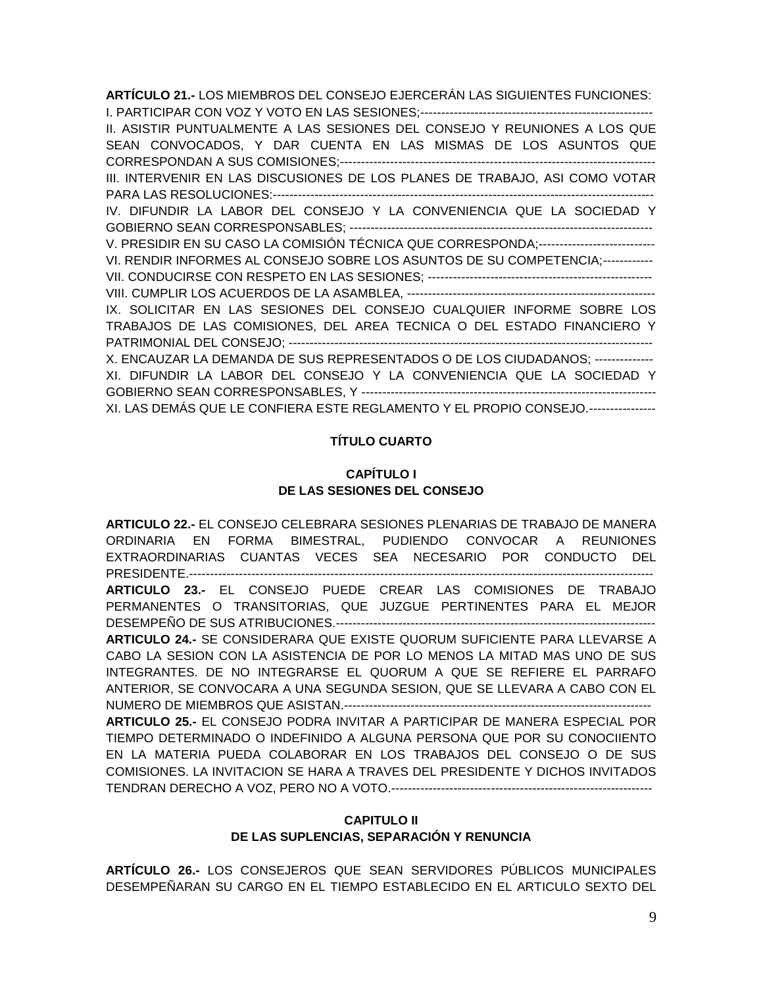**ARTÍCULO 21.-** LOS MIEMBROS DEL CONSEJO EJERCERÁN LAS SIGUIENTES FUNCIONES: I. PARTICIPAR CON VOZ Y VOTO EN LAS SESIONES;--------------------------------------------------------

II. ASISTIR PUNTUALMENTE A LAS SESIONES DEL CONSEJO Y REUNIONES A LOS QUE SEAN CONVOCADOS, Y DAR CUENTA EN LAS MISMAS DE LOS ASUNTOS QUE CORRESPONDAN A SUS COMISIONES;---------------------------------------------------------------------------- III. INTERVENIR EN LAS DISCUSIONES DE LOS PLANES DE TRABAJO, ASI COMO VOTAR PARA LAS RESOLUCIONES:-------------------------------------------------------------------------------------------- IV. DIFUNDIR LA LABOR DEL CONSEJO Y LA CONVENIENCIA QUE LA SOCIEDAD Y GOBIERNO SEAN CORRESPONSABLES; ------------------------------------------------------------------------- V. PRESIDIR EN SU CASO LA COMISIÓN TÉCNICA QUE CORRESPONDA;---------------------------VI. RENDIR INFORMES AL CONSEJO SOBRE LOS ASUNTOS DE SU COMPETENCIA;------------ VII. CONDUCIRSE CON RESPETO EN LAS SESIONES; ------------------------------------------------------ VIII. CUMPLIR LOS ACUERDOS DE LA ASAMBLEA, ------------------------------------------------------------ IX. SOLICITAR EN LAS SESIONES DEL CONSEJO CUALQUIER INFORME SOBRE LOS TRABAJOS DE LAS COMISIONES, DEL AREA TECNICA O DEL ESTADO FINANCIERO Y PATRIMONIAL DEL CONSEJO; ---------------------------------------------------------------------------------------- X. ENCAUZAR LA DEMANDA DE SUS REPRESENTADOS O DE LOS CIUDADANOS; -------------- XI. DIFUNDIR LA LABOR DEL CONSEJO Y LA CONVENIENCIA QUE LA SOCIEDAD Y GOBIERNO SEAN CORRESPONSABLES, Y ----------------------------------------------------------------------- XI. LAS DEMÁS QUE LE CONFIERA ESTE REGLAMENTO Y EL PROPIO CONSEJO.----------------

#### **TÍTULO CUARTO**

# **CAPÍTULO I DE LAS SESIONES DEL CONSEJO**

**ARTICULO 22.-** EL CONSEJO CELEBRARA SESIONES PLENARIAS DE TRABAJO DE MANERA ORDINARIA EN FORMA BIMESTRAL, PUDIENDO CONVOCAR A REUNIONES EXTRAORDINARIAS CUANTAS VECES SEA NECESARIO POR CONDUCTO DEL PRESIDENTE.---------------------------------------------------------------------------------------------------------------- **ARTICULO 23.-** EL CONSEJO PUEDE CREAR LAS COMISIONES DE TRABAJO PERMANENTES O TRANSITORIAS, QUE JUZGUE PERTINENTES PARA EL MEJOR DESEMPEÑO DE SUS ATRIBUCIONES.----------------------------------------------------------------------------- **ARTICULO 24.-** SE CONSIDERARA QUE EXISTE QUORUM SUFICIENTE PARA LLEVARSE A CABO LA SESION CON LA ASISTENCIA DE POR LO MENOS LA MITAD MAS UNO DE SUS INTEGRANTES. DE NO INTEGRARSE EL QUORUM A QUE SE REFIERE EL PARRAFO ANTERIOR, SE CONVOCARA A UNA SEGUNDA SESION, QUE SE LLEVARA A CABO CON EL NUMERO DE MIEMBROS QUE ASISTAN.-------------------------------------------------------------------------- **ARTICULO 25.-** EL CONSEJO PODRA INVITAR A PARTICIPAR DE MANERA ESPECIAL POR TIEMPO DETERMINADO O INDEFINIDO A ALGUNA PERSONA QUE POR SU CONOCIIENTO EN LA MATERIA PUEDA COLABORAR EN LOS TRABAJOS DEL CONSEJO O DE SUS COMISIONES. LA INVITACION SE HARA A TRAVES DEL PRESIDENTE Y DICHOS INVITADOS TENDRAN DERECHO A VOZ, PERO NO A VOTO.---------------------------------------------------------------

## **CAPITULO II DE LAS SUPLENCIAS, SEPARACIÓN Y RENUNCIA**

**ARTÍCULO 26.-** LOS CONSEJEROS QUE SEAN SERVIDORES PÚBLICOS MUNICIPALES DESEMPEÑARAN SU CARGO EN EL TIEMPO ESTABLECIDO EN EL ARTICULO SEXTO DEL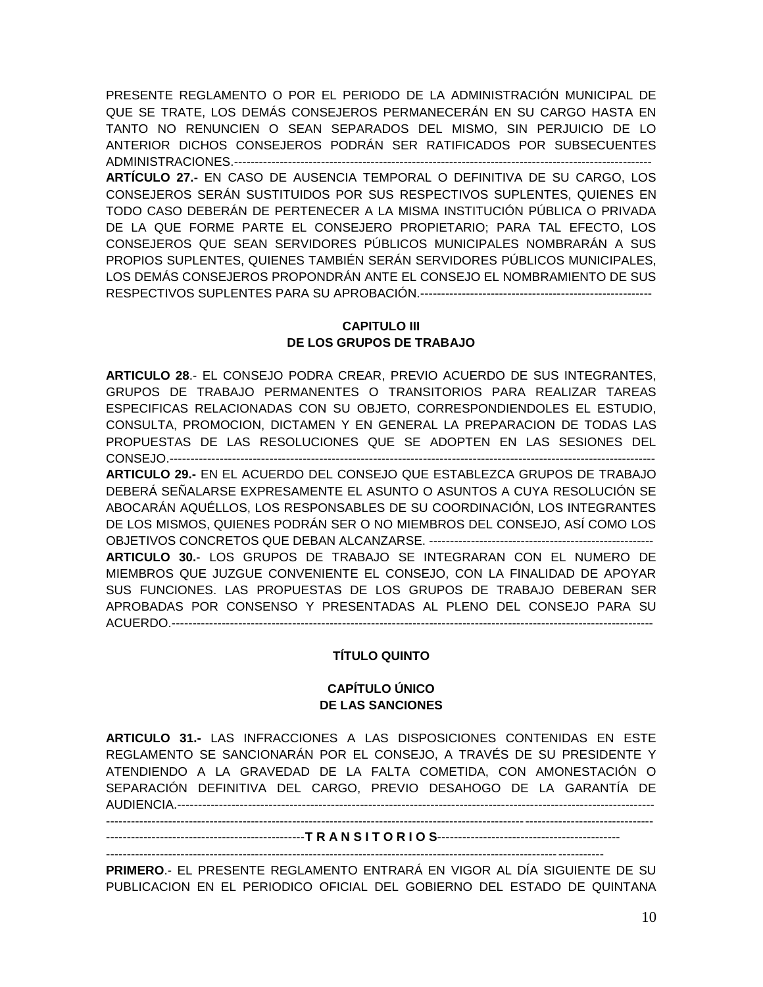PRESENTE REGLAMENTO O POR EL PERIODO DE LA ADMINISTRACIÓN MUNICIPAL DE QUE SE TRATE, LOS DEMÁS CONSEJEROS PERMANECERÁN EN SU CARGO HASTA EN TANTO NO RENUNCIEN O SEAN SEPARADOS DEL MISMO, SIN PERJUICIO DE LO ANTERIOR DICHOS CONSEJEROS PODRÁN SER RATIFICADOS POR SUBSECUENTES ADMINISTRACIONES.----------------------------------------------------------------------------------------------------- **ARTÍCULO 27.-** EN CASO DE AUSENCIA TEMPORAL O DEFINITIVA DE SU CARGO, LOS CONSEJEROS SERÁN SUSTITUIDOS POR SUS RESPECTIVOS SUPLENTES, QUIENES EN TODO CASO DEBERÁN DE PERTENECER A LA MISMA INSTITUCIÓN PÚBLICA O PRIVADA DE LA QUE FORME PARTE EL CONSEJERO PROPIETARIO; PARA TAL EFECTO, LOS CONSEJEROS QUE SEAN SERVIDORES PÚBLICOS MUNICIPALES NOMBRARÁN A SUS PROPIOS SUPLENTES, QUIENES TAMBIÉN SERÁN SERVIDORES PÚBLICOS MUNICIPALES, LOS DEMÁS CONSEJEROS PROPONDRÁN ANTE EL CONSEJO EL NOMBRAMIENTO DE SUS RESPECTIVOS SUPLENTES PARA SU APROBACIÓN.--------------------------------------------------------

### **CAPITULO III DE LOS GRUPOS DE TRABAJO**

**ARTICULO 28**.- EL CONSEJO PODRA CREAR, PREVIO ACUERDO DE SUS INTEGRANTES, GRUPOS DE TRABAJO PERMANENTES O TRANSITORIOS PARA REALIZAR TAREAS ESPECIFICAS RELACIONADAS CON SU OBJETO, CORRESPONDIENDOLES EL ESTUDIO, CONSULTA, PROMOCION, DICTAMEN Y EN GENERAL LA PREPARACION DE TODAS LAS PROPUESTAS DE LAS RESOLUCIONES QUE SE ADOPTEN EN LAS SESIONES DEL CONSEJO.--------------------------------------------------------------------------------------------------------------------- **ARTICULO 29.-** EN EL ACUERDO DEL CONSEJO QUE ESTABLEZCA GRUPOS DE TRABAJO DEBERÁ SEÑALARSE EXPRESAMENTE EL ASUNTO O ASUNTOS A CUYA RESOLUCIÓN SE ABOCARÁN AQUÉLLOS, LOS RESPONSABLES DE SU COORDINACIÓN, LOS INTEGRANTES DE LOS MISMOS, QUIENES PODRÁN SER O NO MIEMBROS DEL CONSEJO, ASÍ COMO LOS OBJETIVOS CONCRETOS QUE DEBAN ALCANZARSE. ------------------------------------------------------ **ARTICULO 30.**- LOS GRUPOS DE TRABAJO SE INTEGRARAN CON EL NUMERO DE MIEMBROS QUE JUZGUE CONVENIENTE EL CONSEJO, CON LA FINALIDAD DE APOYAR SUS FUNCIONES. LAS PROPUESTAS DE LOS GRUPOS DE TRABAJO DEBERAN SER APROBADAS POR CONSENSO Y PRESENTADAS AL PLENO DEL CONSEJO PARA SU ACUERDO.--------------------------------------------------------------------------------------------------------------------

#### **TÍTULO QUINTO**

#### **CAPÍTULO ÚNICO DE LAS SANCIONES**

**ARTICULO 31.-** LAS INFRACCIONES A LAS DISPOSICIONES CONTENIDAS EN ESTE REGLAMENTO SE SANCIONARÁN POR EL CONSEJO, A TRAVÉS DE SU PRESIDENTE Y ATENDIENDO A LA GRAVEDAD DE LA FALTA COMETIDA, CON AMONESTACIÓN O SEPARACIÓN DEFINITIVA DEL CARGO, PREVIO DESAHOGO DE LA GARANTÍA DE AUDIENCIA.-------------------------------------------------------------------------------------------------------------------

------------------------------------------------------------------------------------------------------------------------------------

------------------------------------------------**T R A N S I T O R I O S**--------------------------------------------

------------------------------------------------------------------------------------------------------------------------

**PRIMERO**.- EL PRESENTE REGLAMENTO ENTRARÁ EN VIGOR AL DÍA SIGUIENTE DE SU PUBLICACION EN EL PERIODICO OFICIAL DEL GOBIERNO DEL ESTADO DE QUINTANA